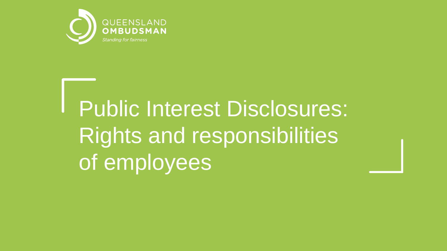

# Public Interest Disclosures: Rights and responsibilities of employees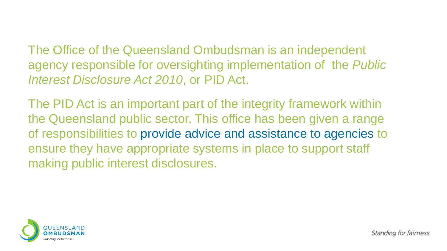The Office of the Queensland Ombudsman is an independent agency responsible for oversighting implementation of the *Public Interest Disclosure Act 2010*, or PID Act.

The PID Act is an important part of the integrity framework within the Queensland public sector. This office has been given a range of responsibilities to provide advice and assistance to agencies to ensure they have appropriate systems in place to support staff making public interest disclosures.

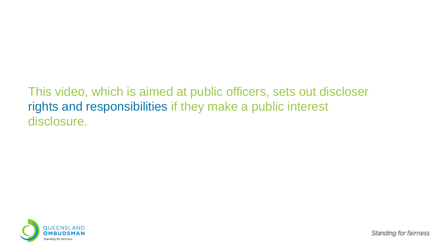#### This video, which is aimed at public officers, sets out discloser rights and responsibilities if they make a public interest disclosure.

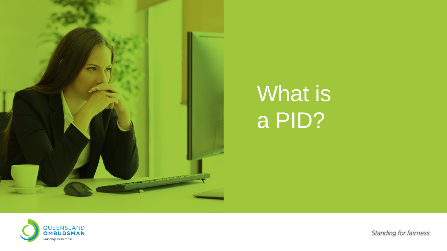

### What is a PID?

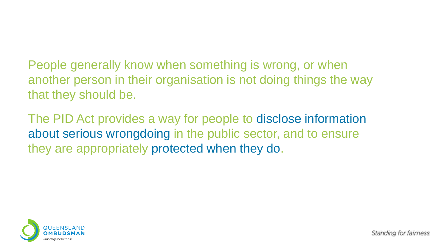People generally know when something is wrong, or when another person in their organisation is not doing things the way that they should be.

The PID Act provides a way for people to disclose information about serious wrongdoing in the public sector, and to ensure they are appropriately protected when they do.

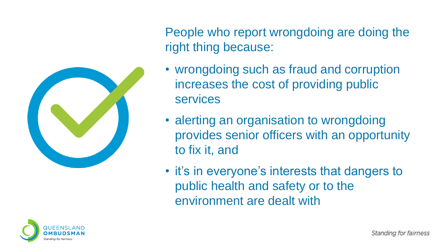

People who report wrongdoing are doing the right thing because:

- wrongdoing such as fraud and corruption increases the cost of providing public services
- alerting an organisation to wrongdoing provides senior officers with an opportunity to fix it, and
- it's in everyone's interests that dangers to public health and safety or to the environment are dealt with

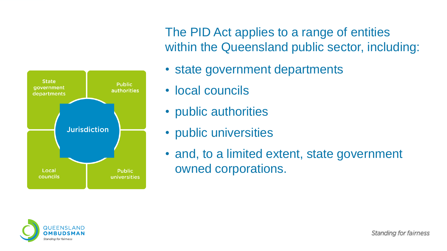

The PID Act applies to a range of entities within the Queensland public sector, including:

- state government departments
- local councils
- public authorities
- public universities
- and, to a limited extent, state government owned corporations.

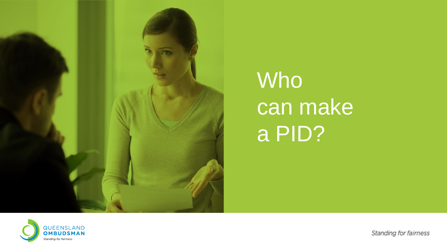

## Who can make a PID?

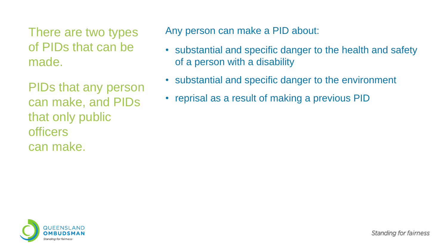There are two types of PIDs that can be made.

PIDs that any person can make, and PIDs that only public officers can make.

Any person can make a PID about:

- substantial and specific danger to the health and safety of a person with a disability
- substantial and specific danger to the environment
- reprisal as a result of making a previous PID

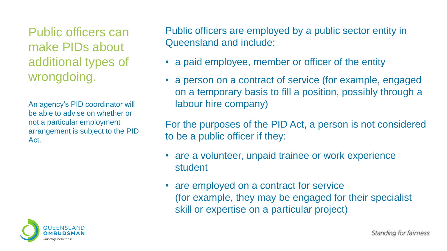Public officers can make PIDs about additional types of wrongdoing.

An agency's PID coordinator will be able to advise on whether or not a particular employment arrangement is subject to the PID Act.



Public officers are employed by a public sector entity in Queensland and include:

- a paid employee, member or officer of the entity
- a person on a contract of service (for example, engaged on a temporary basis to fill a position, possibly through a labour hire company)

For the purposes of the PID Act, a person is not considered to be a public officer if they:

- are a volunteer, unpaid trainee or work experience student
- are employed on a contract for service (for example, they may be engaged for their specialist skill or expertise on a particular project)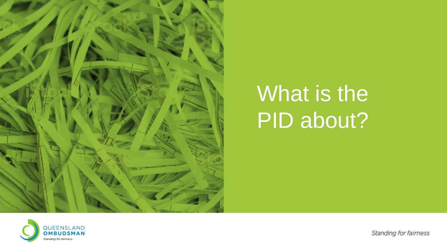

#### What is the PID about?

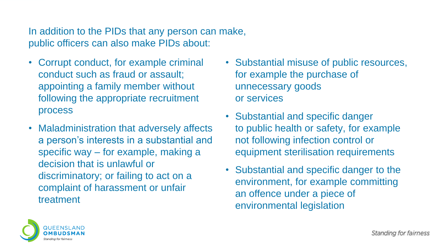In addition to the PIDs that any person can make, public officers can also make PIDs about:

- Corrupt conduct, for example criminal conduct such as fraud or assault; appointing a family member without following the appropriate recruitment process
- Maladministration that adversely affects a person's interests in a substantial and specific way – for example, making a decision that is unlawful or discriminatory; or failing to act on a complaint of harassment or unfair treatment
- Substantial misuse of public resources, for example the purchase of unnecessary goods or services
- Substantial and specific danger to public health or safety, for example not following infection control or equipment sterilisation requirements
- Substantial and specific danger to the environment, for example committing an offence under a piece of environmental legislation

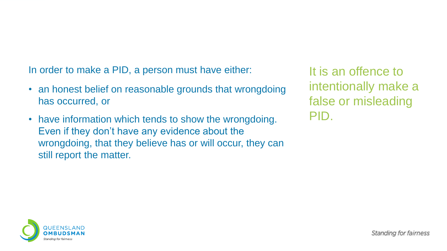In order to make a PID, a person must have either:

- an honest belief on reasonable grounds that wrongdoing has occurred, or
- have information which tends to show the wrongdoing. Even if they don't have any evidence about the wrongdoing, that they believe has or will occur, they can still report the matter.

It is an offence to intentionally make a false or misleading PID.

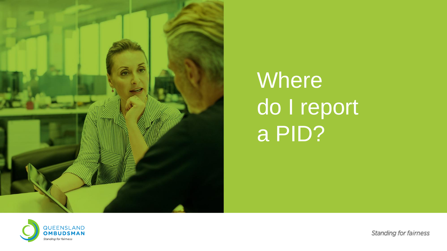

## Where do I report a PID?

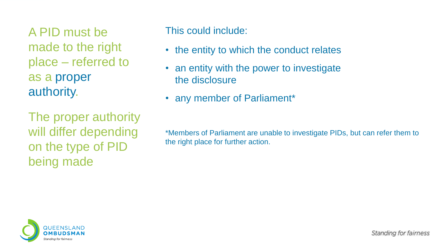A PID must be made to the right place – referred to as a proper authority.

The proper authority will differ depending on the type of PID being made

This could include:

- the entity to which the conduct relates
- an entity with the power to investigate the disclosure
- any member of Parliament\*

\*Members of Parliament are unable to investigate PIDs, but can refer them to the right place for further action.

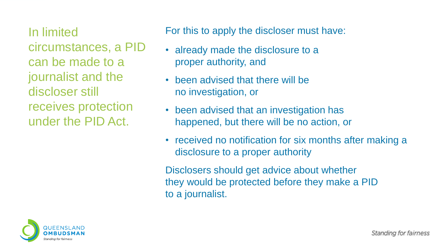In limited circumstances, a PID can be made to a journalist and the discloser still receives protection under the PID Act.

For this to apply the discloser must have:

- already made the disclosure to a proper authority, and
- been advised that there will be no investigation, or
- been advised that an investigation has happened, but there will be no action, or
- received no notification for six months after making a disclosure to a proper authority

Disclosers should get advice about whether they would be protected before they make a PID to a journalist.

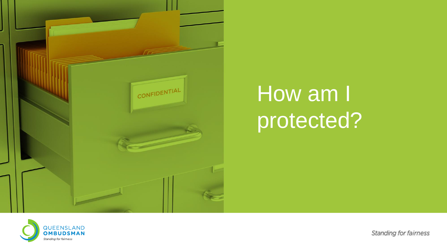

### How am I protected?

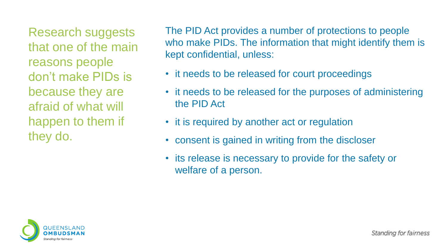Research suggests that one of the main reasons people don't make PIDs is because they are afraid of what will happen to them if they do.

The PID Act provides a number of protections to people who make PIDs. The information that might identify them is kept confidential, unless:

- it needs to be released for court proceedings
- it needs to be released for the purposes of administering the PID Act
- it is required by another act or regulation
- consent is gained in writing from the discloser
- its release is necessary to provide for the safety or welfare of a person.

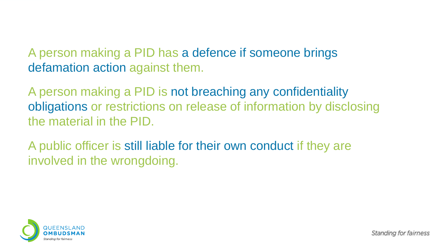#### A person making a PID has a defence if someone brings defamation action against them.

A person making a PID is not breaching any confidentiality obligations or restrictions on release of information by disclosing the material in the PID.

A public officer is still liable for their own conduct if they are involved in the wrongdoing.

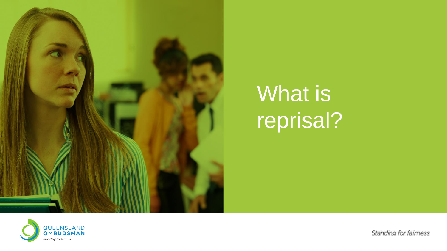

## What is reprisal?

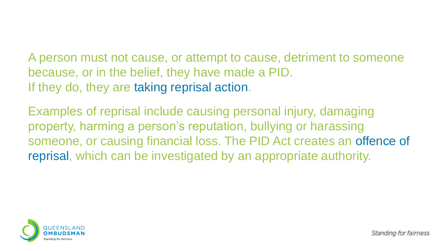A person must not cause, or attempt to cause, detriment to someone because, or in the belief, they have made a PID. If they do, they are taking reprisal action.

Examples of reprisal include causing personal injury, damaging property, harming a person's reputation, bullying or harassing someone, or causing financial loss. The PID Act creates an offence of reprisal, which can be investigated by an appropriate authority.

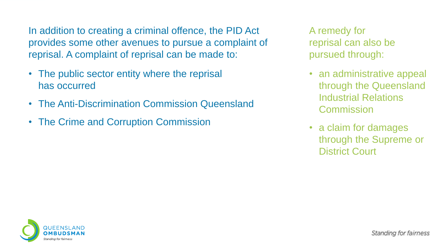In addition to creating a criminal offence, the PID Act provides some other avenues to pursue a complaint of reprisal. A complaint of reprisal can be made to:

- The public sector entity where the reprisal has occurred
- The Anti-Discrimination Commission Queensland
- The Crime and Corruption Commission

A remedy for reprisal can also be pursued through:

- an administrative appeal through the Queensland Industrial Relations **Commission**
- a claim for damages through the Supreme or District Court

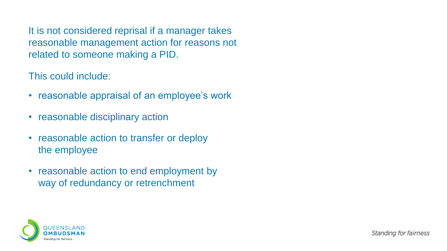It is not considered reprisal if a manager takes reasonable management action for reasons not related to someone making a PID.

This could include:

- reasonable appraisal of an employee's work
- reasonable disciplinary action
- reasonable action to transfer or deploy the employee
- reasonable action to end employment by way of redundancy or retrenchment

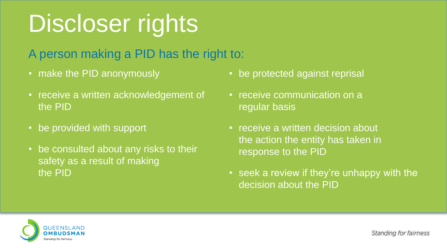# Discloser rights

A person making a PID has the right to:

- make the PID anonymously
- receive a written acknowledgement of the PID
- be provided with support
- be consulted about any risks to their safety as a result of making the PID
- be protected against reprisal
- receive communication on a regular basis
- receive a written decision about the action the entity has taken in response to the PID
- seek a review if they're unhappy with the decision about the PID

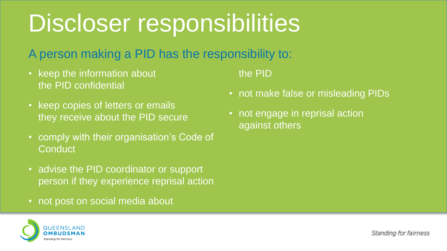## Discloser responsibilities

#### A person making a PID has the responsibility to:

- keep the information about the PID confidential
- keep copies of letters or emails they receive about the PID secure
- comply with their organisation's Code of **Conduct**
- advise the PID coordinator or support person if they experience reprisal action
- not post on social media about

the PID

- not make false or misleading PIDs
- not engage in reprisal action against others